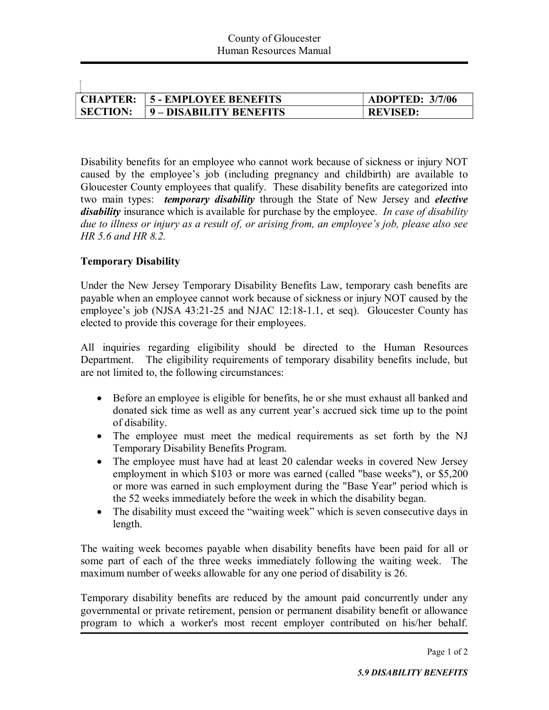|                 | <b>CHAPTER: 15 - EMPLOYEE BENEFITS</b> | <b>ADOPTED: 3/7/06</b> |
|-----------------|----------------------------------------|------------------------|
| <b>SECTION:</b> | 9 – DISABILITY BENEFITS                | <b>REVISED:</b>        |

Disability benefits for an employee who cannot work because of sickness or injury NOT caused by the employee's job (including pregnancy and childbirth) are available to Gloucester County employees that qualify. These disability benefits are categorized into two main types: *temporary disability* through the State of New Jersey and *elective disability* insurance which is available for purchase by the employee. *In case of disability due to illness or injury as a result of, or arising from, an employee's job, please also see HR 5.6 and HR 8.2.*

## **Temporary Disability**

 $\overline{1}$ 

Under the New Jersey Temporary Disability Benefits Law, temporary cash benefits are payable when an employee cannot work because of sickness or injury NOT caused by the employee's job (NJSA 43:21-25 and NJAC 12:18-1.1, et seq). Gloucester County has elected to provide this coverage for their employees.

All inquiries regarding eligibility should be directed to the Human Resources Department. The eligibility requirements of temporary disability benefits include, but are not limited to, the following circumstances:

- · Before an employee is eligible for benefits, he or she must exhaust all banked and donated sick time as well as any current year's accrued sick time up to the point of disability.
- · The employee must meet the medical requirements as set forth by the NJ Temporary Disability Benefits Program.
- The employee must have had at least 20 calendar weeks in covered New Jersey employment in which \$103 or more was earned (called "base weeks"), or \$5,200 or more was earned in such employment during the "Base Year" period which is the 52 weeks immediately before the week in which the disability began.
- The disability must exceed the "waiting week" which is seven consecutive days in length.

The waiting week becomes payable when disability benefits have been paid for all or some part of each of the three weeks immediately following the waiting week. The maximum number of weeks allowable for any one period of disability is 26.

Temporary disability benefits are reduced by the amount paid concurrently under any governmental or private retirement, pension or permanent disability benefit or allowance program to which a worker's most recent employer contributed on his/her behalf.

Page 1 of 2